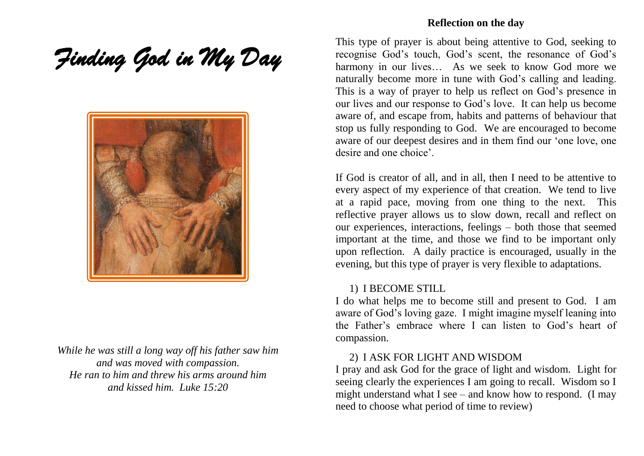*Finding God in My Day* 



*While he was still a long way off his father saw him and was moved with compassion. He ran to him and threw his arms around him and kissed him. Luke 15:20*

### **Reflection on the day**

This type of prayer is about being attentive to God, seeking to recognise God's touch, God's scent, the resonance of God's harmony in our lives... As we seek to know God more we naturally become more in tune with God's calling and leading. This is a way of prayer to help us reflect on God's presence in our lives and our response to God's love. It can help us become aware of, and escape from, habits and patterns of behaviour that stop us fully responding to God. We are encouraged to become aware of our deepest desires and in them find our 'one love, one desire and one choice'.

If God is creator of all, and in all, then I need to be attentive to every aspect of my experience of that creation. We tend to live at a rapid pace, moving from one thing to the next. This reflective prayer allows us to slow down, recall and reflect on our experiences, interactions, feelings – both those that seemed important at the time, and those we find to be important only upon reflection. A daily practice is encouraged, usually in the evening, but this type of prayer is very flexible to adaptations.

### 1) I BECOME STILL

I do what helps me to become still and present to God. I am aware of God's loving gaze. I might imagine myself leaning into the Father's embrace where I can listen to God's heart of compassion.

### 2) I ASK FOR LIGHT AND WISDOM

I pray and ask God for the grace of light and wisdom. Light for seeing clearly the experiences I am going to recall. Wisdom so I might understand what I see – and know how to respond. (I may need to choose what period of time to review)